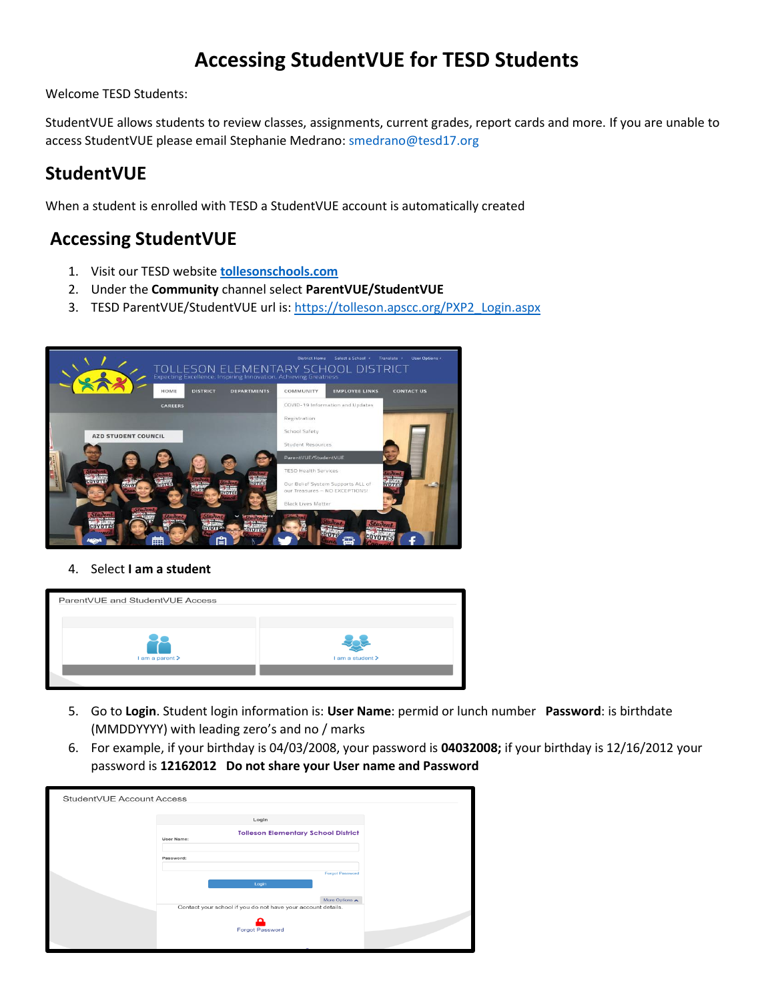# **Accessing StudentVUE for TESD Students**

Welcome TESD Students:

StudentVUE allows students to review classes, assignments, current grades, report cards and more. If you are unable to access StudentVUE please email Stephanie Medrano: [smedrano@tesd17.org](mailto:smedrano@tesd17.org)

### **StudentVUE**

When a student is enrolled with TESD a StudentVUE account is automatically created

### **Accessing StudentVUE**

- 1. Visit our TESD website **[tollesonschools.com](https://www.tollesonschools.com/)**
- 2. Under the **Community** channel select **ParentVUE/StudentVUE**
- 3. TESD ParentVUE/StudentVUE url is: [https://tolleson.apscc.org/PXP2\\_Login.aspx](https://tolleson.apscc.org/PXP2_Login.aspx)



#### 4. Select **I am a student**

| ParentVUE and StudentVUE Access |                  |  |  |  |
|---------------------------------|------------------|--|--|--|
| I am a parent >                 | I am a student > |  |  |  |
|                                 |                  |  |  |  |

- 5. Go to **Login**. Student login information is: **User Name**: permid or lunch number **Password**: is birthdate (MMDDYYYY) with leading zero's and no / marks
- 6. For example, if your birthday is 04/03/2008, your password is **04032008;** if your birthday is 12/16/2012 your password is **12162012 Do not share your User name and Password**

| StudentVUE Account Access |                                                                 |  |  |  |
|---------------------------|-----------------------------------------------------------------|--|--|--|
|                           |                                                                 |  |  |  |
|                           | Login                                                           |  |  |  |
|                           | <b>Tolleson Elementary School District</b><br><b>User Name:</b> |  |  |  |
|                           |                                                                 |  |  |  |
|                           | Password:                                                       |  |  |  |
|                           |                                                                 |  |  |  |
|                           | <b>Forgot Password</b>                                          |  |  |  |
|                           | Login                                                           |  |  |  |
|                           | More Options A                                                  |  |  |  |
|                           | Contact your school if you do not have your account details.    |  |  |  |
|                           |                                                                 |  |  |  |
|                           | <b>Forgot Password</b>                                          |  |  |  |
|                           |                                                                 |  |  |  |
|                           |                                                                 |  |  |  |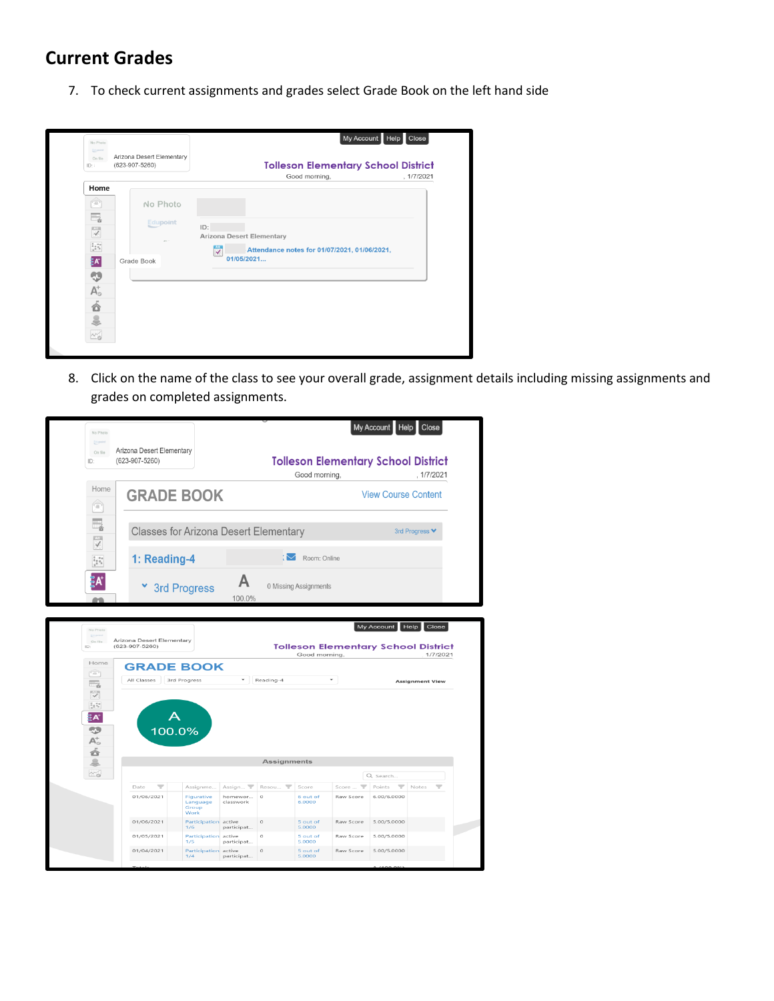### **Current Grades**

7. To check current assignments and grades select Grade Book on the left hand side



8. Click on the name of the class to see your overall grade, assignment details including missing assignments and grades on completed assignments.